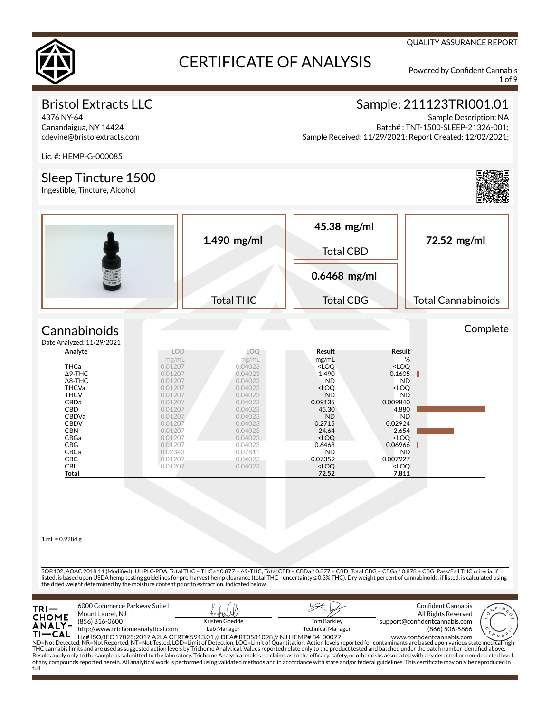

1 of 9

QUALITY ASSURANCE REPORT

## Bristol Extracts LLC

4376 NY-64 Canandaigua, NY 14424 cdevine@bristolextracts.com

## Sample: 211123TRI001.01

Sample Description: NA Batch# : TNT-1500-SLEEP-21326-001; Sample Received: 11/29/2021; Report Created: 12/02/2021;

Lic. #: HEMP-G-000085

### Sleep Tincture 1500

Ingestible, Tincture, Alcohol



### **Cannabinoids**  $Data$

| e Analyzed: 11/29/2021 |            |            |                                                          |                              |  |
|------------------------|------------|------------|----------------------------------------------------------|------------------------------|--|
| Analyte                | <b>LOD</b> | <b>LOO</b> | Result                                                   | Result                       |  |
|                        | mg/mL      | mg/mL      | mg/mL                                                    | %                            |  |
| <b>THCa</b>            | 0.01207    | 0.04023    | <loq< td=""><td><loq< td=""><td></td></loq<></td></loq<> | <loq< td=""><td></td></loq<> |  |
| $\Delta$ 9-THC         | 0.01207    | 0.04023    | 1.490                                                    | 0.1605                       |  |
| $\Delta$ 8-THC         | 0.01207    | 0.04023    | <b>ND</b>                                                | <b>ND</b>                    |  |
| <b>THCVa</b>           | 0.01207    | 0.04023    | <loq< td=""><td><loo< td=""><td></td></loo<></td></loq<> | <loo< td=""><td></td></loo<> |  |
| <b>THCV</b>            | 0.01207    | 0.04023    | <b>ND</b>                                                | <b>ND</b>                    |  |
| CBDa                   | 0.01207    | 0.04023    | 0.09135                                                  | 0.009840                     |  |
| <b>CBD</b>             | 0.01207    | 0.04023    | 45.30                                                    | 4.880                        |  |
| <b>CBDVa</b>           | 0.01207    | 0.04023    | <b>ND</b>                                                | ND.                          |  |
| <b>CBDV</b>            | 0.01207    | 0.04023    | 0.2715                                                   | 0.02924                      |  |
| <b>CBN</b>             | 0.01207    | 0.04023    | 24.64                                                    | 2.654                        |  |
| CBGa                   | 0.01207    | 0.04023    | <loo< th=""><th><loo< th=""><th></th></loo<></th></loo<> | <loo< th=""><th></th></loo<> |  |
| <b>CBG</b>             | 0.01207    | 0.04023    | 0.6468                                                   | 0.06966                      |  |
| CBCa                   | 0.02343    | 0.07811    | <b>ND</b>                                                | N <sub>D</sub>               |  |
| <b>CBC</b>             | 0.01207    | 0.04023    | 0.07359                                                  | 0.007927                     |  |
| <b>CBL</b>             | 0.01207    | 0.04023    | <loq< th=""><th><loq< th=""><th></th></loq<></th></loq<> | <loq< th=""><th></th></loq<> |  |
| Total                  |            |            | 72.52                                                    | 7.811                        |  |

 $1$  mL = 0.9284 g

SOP.102, AOAC 2018.11 (Modied); UHPLC-PDA. Total THC = THCa \* 0.877 + Δ9-THC; Total CBD = CBDa \* 0.877 + CBD; Total CBG = CBGa \* 0.878 + CBG. Pass/Fail THC criteria, if listed, is based upon USDA hemp testing guidelines for pre-harvest hemp clearance (total THC - uncertainty ≤ 0.3% THC). Dry weight percent of cannabinoids, if listed, is calculated using the dried weight determined by the moisture content prior to extraction, indicated below.

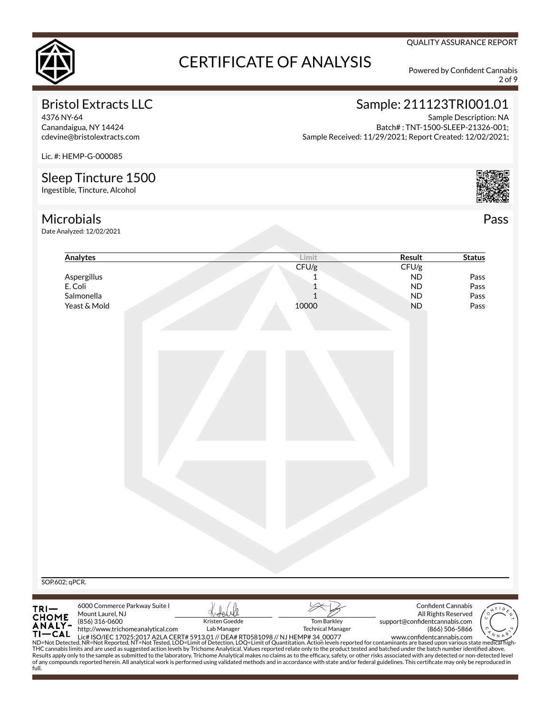

2 of 9

Pass

QUALITY ASSURANCE REPORT

## Bristol Extracts LLC

4376 NY-64 Canandaigua, NY 14424 cdevine@bristolextracts.com

## Sample: 211123TRI001.01

Sample Description: NA Batch# : TNT-1500-SLEEP-21326-001; Sample Received: 11/29/2021; Report Created: 12/02/2021;

Lic. #: HEMP-G-000085

## Sleep Tincture 1500

Ingestible, Tincture, Alcohol



full.

Date Analyzed: 12/02/2021

| Analytes                                                                                                                                        | Limit                                                                                                                                                                                                                                                                                                                                                                                                                                                                                                                                                                                             | Result                                                                                              | <b>Status</b> |
|-------------------------------------------------------------------------------------------------------------------------------------------------|---------------------------------------------------------------------------------------------------------------------------------------------------------------------------------------------------------------------------------------------------------------------------------------------------------------------------------------------------------------------------------------------------------------------------------------------------------------------------------------------------------------------------------------------------------------------------------------------------|-----------------------------------------------------------------------------------------------------|---------------|
|                                                                                                                                                 | CFU/g                                                                                                                                                                                                                                                                                                                                                                                                                                                                                                                                                                                             | CFU/g                                                                                               |               |
| Aspergillus                                                                                                                                     | 1                                                                                                                                                                                                                                                                                                                                                                                                                                                                                                                                                                                                 | <b>ND</b>                                                                                           | Pass          |
| E. Coli                                                                                                                                         | 1                                                                                                                                                                                                                                                                                                                                                                                                                                                                                                                                                                                                 | <b>ND</b>                                                                                           | Pass          |
| Salmonella                                                                                                                                      | $\mathbf{1}$                                                                                                                                                                                                                                                                                                                                                                                                                                                                                                                                                                                      | <b>ND</b>                                                                                           | Pass          |
| Yeast & Mold                                                                                                                                    | 10000                                                                                                                                                                                                                                                                                                                                                                                                                                                                                                                                                                                             | ND                                                                                                  | Pass          |
|                                                                                                                                                 |                                                                                                                                                                                                                                                                                                                                                                                                                                                                                                                                                                                                   |                                                                                                     |               |
|                                                                                                                                                 |                                                                                                                                                                                                                                                                                                                                                                                                                                                                                                                                                                                                   |                                                                                                     |               |
|                                                                                                                                                 |                                                                                                                                                                                                                                                                                                                                                                                                                                                                                                                                                                                                   |                                                                                                     |               |
| SOP.602; qPCR.                                                                                                                                  |                                                                                                                                                                                                                                                                                                                                                                                                                                                                                                                                                                                                   |                                                                                                     |               |
|                                                                                                                                                 |                                                                                                                                                                                                                                                                                                                                                                                                                                                                                                                                                                                                   |                                                                                                     |               |
| 6000 Commerce Parkway Suite I<br>TRI—<br>CHOME<br>ANALY-<br>Mount Laurel, NJ<br>(856) 316-0600<br>http://www.trichomeanalytical.com<br>$TI-CAL$ | Kristen Goedde<br><b>Tom Barkley</b><br>Lab Manager<br><b>Technical Manager</b><br>11 CAL Lic# ISO/IEC 17025:2017 A2LA CERT# 5913.01 // DEA# RT0581098 // NJ HEMP# 34 00077 www.confidentcannabis.com www.confidentcannabis.com www.confidentcannabis.com www.confidentcannabis.com www.confidentcannabis.com ND=                                                                                                                                                                                                                                                                                 | <b>Confident Cannabis</b><br>All Rights Reserved<br>support@confidentcannabis.com<br>(866) 506-5866 |               |
|                                                                                                                                                 | THC cannabis limits and are used as suggested action levels by Trichome Analytical. Values reported relate only to the product tested and batched under the batch number identified above.<br>Results apply only to the sample as submitted to the laboratory. Trichome Analytical makes no claims as to the efficacy, safety, or other risks associated with any detected or non-detected level<br>of any compounds reported herein. All analytical work is performed using validated methods and in accordance with state and/or federal guidelines. This certificate may only be reproduced in |                                                                                                     |               |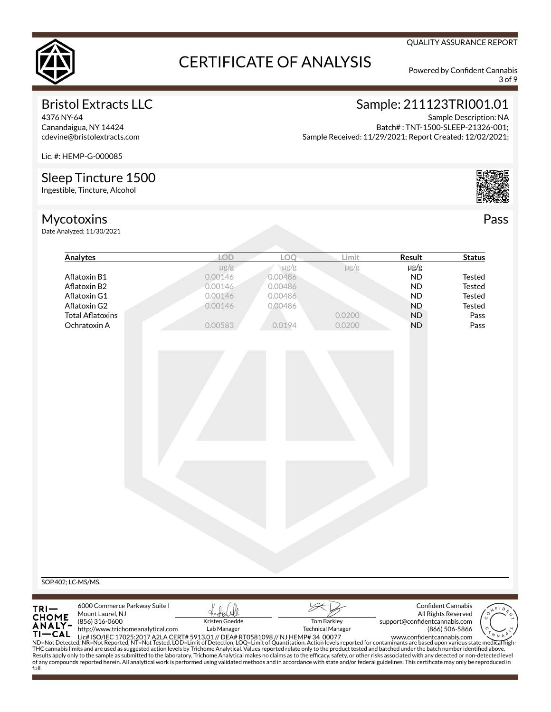

3 of 9

QUALITY ASSURANCE REPORT

## Bristol Extracts LLC

4376 NY-64 Canandaigua, NY 14424 cdevine@bristolextracts.com

### Sample: 211123TRI001.01 Sample Description: NA

Batch# : TNT-1500-SLEEP-21326-001; Sample Received: 11/29/2021; Report Created: 12/02/2021;

Lic. #: HEMP-G-000085

## Sleep Tincture 1500

Ingestible, Tincture, Alcohol

## Mycotoxins

Date Analyzed: 11/30/2021



Pass

| Analytes                                                                                                                                                                                                                                                                                                                                                                                            |                                   | <b>LOD</b>     | LOQ       | Limit                    | Result                        | <b>Status</b>             |
|-----------------------------------------------------------------------------------------------------------------------------------------------------------------------------------------------------------------------------------------------------------------------------------------------------------------------------------------------------------------------------------------------------|-----------------------------------|----------------|-----------|--------------------------|-------------------------------|---------------------------|
|                                                                                                                                                                                                                                                                                                                                                                                                     |                                   | $\mu$ g/g      | $\mu$ g/g | µg/g                     | $\mu$ g/g                     |                           |
| Aflatoxin B1                                                                                                                                                                                                                                                                                                                                                                                        |                                   | 0.00146        | 0.00486   |                          | <b>ND</b>                     | <b>Tested</b>             |
| Aflatoxin B2                                                                                                                                                                                                                                                                                                                                                                                        |                                   | 0.00146        | 0.00486   |                          | <b>ND</b>                     | Tested                    |
| Aflatoxin G1                                                                                                                                                                                                                                                                                                                                                                                        |                                   | 0.00146        | 0.00486   |                          | <b>ND</b>                     | <b>Tested</b>             |
| Aflatoxin G2                                                                                                                                                                                                                                                                                                                                                                                        |                                   | 0.00146        | 0.00486   |                          | <b>ND</b>                     | <b>Tested</b>             |
| <b>Total Aflatoxins</b><br>Ochratoxin A                                                                                                                                                                                                                                                                                                                                                             |                                   | 0.00583        | 0.0194    | 0.0200<br>0.0200         | <b>ND</b><br><b>ND</b>        | Pass<br>Pass              |
|                                                                                                                                                                                                                                                                                                                                                                                                     |                                   |                |           |                          |                               |                           |
|                                                                                                                                                                                                                                                                                                                                                                                                     |                                   |                |           |                          |                               |                           |
|                                                                                                                                                                                                                                                                                                                                                                                                     |                                   |                |           |                          |                               |                           |
|                                                                                                                                                                                                                                                                                                                                                                                                     |                                   |                |           |                          |                               |                           |
|                                                                                                                                                                                                                                                                                                                                                                                                     |                                   |                |           |                          |                               |                           |
|                                                                                                                                                                                                                                                                                                                                                                                                     |                                   |                |           |                          |                               |                           |
|                                                                                                                                                                                                                                                                                                                                                                                                     |                                   |                |           |                          |                               |                           |
|                                                                                                                                                                                                                                                                                                                                                                                                     |                                   |                |           |                          |                               |                           |
|                                                                                                                                                                                                                                                                                                                                                                                                     |                                   |                |           |                          |                               |                           |
|                                                                                                                                                                                                                                                                                                                                                                                                     |                                   |                |           |                          |                               |                           |
|                                                                                                                                                                                                                                                                                                                                                                                                     |                                   |                |           |                          |                               |                           |
|                                                                                                                                                                                                                                                                                                                                                                                                     |                                   |                |           |                          |                               |                           |
|                                                                                                                                                                                                                                                                                                                                                                                                     |                                   |                |           |                          |                               |                           |
|                                                                                                                                                                                                                                                                                                                                                                                                     |                                   |                |           |                          |                               |                           |
|                                                                                                                                                                                                                                                                                                                                                                                                     |                                   |                |           |                          |                               |                           |
|                                                                                                                                                                                                                                                                                                                                                                                                     |                                   |                |           |                          |                               |                           |
|                                                                                                                                                                                                                                                                                                                                                                                                     |                                   |                |           |                          |                               |                           |
|                                                                                                                                                                                                                                                                                                                                                                                                     |                                   |                |           |                          |                               |                           |
|                                                                                                                                                                                                                                                                                                                                                                                                     |                                   |                |           |                          |                               |                           |
|                                                                                                                                                                                                                                                                                                                                                                                                     |                                   |                |           |                          |                               |                           |
|                                                                                                                                                                                                                                                                                                                                                                                                     |                                   |                |           |                          |                               |                           |
|                                                                                                                                                                                                                                                                                                                                                                                                     |                                   |                |           |                          |                               |                           |
|                                                                                                                                                                                                                                                                                                                                                                                                     |                                   |                |           |                          |                               |                           |
|                                                                                                                                                                                                                                                                                                                                                                                                     |                                   |                |           |                          |                               |                           |
|                                                                                                                                                                                                                                                                                                                                                                                                     |                                   |                |           |                          |                               |                           |
|                                                                                                                                                                                                                                                                                                                                                                                                     |                                   |                |           |                          |                               |                           |
|                                                                                                                                                                                                                                                                                                                                                                                                     |                                   |                |           |                          |                               |                           |
|                                                                                                                                                                                                                                                                                                                                                                                                     |                                   |                |           |                          |                               |                           |
| SOP.402; LC-MS/MS.                                                                                                                                                                                                                                                                                                                                                                                  |                                   |                |           |                          |                               |                           |
|                                                                                                                                                                                                                                                                                                                                                                                                     |                                   |                |           |                          |                               |                           |
|                                                                                                                                                                                                                                                                                                                                                                                                     |                                   |                |           |                          |                               |                           |
|                                                                                                                                                                                                                                                                                                                                                                                                     | 6000 Commerce Parkway Suite I     |                |           |                          |                               | <b>Confident Cannabis</b> |
| TRI—<br>CHOME<br>ANALY-<br>Mount Laurel, NJ                                                                                                                                                                                                                                                                                                                                                         |                                   |                |           |                          |                               | All Rights Reserved       |
| (856) 316-0600                                                                                                                                                                                                                                                                                                                                                                                      |                                   | Kristen Goedde |           | <b>Tom Barkley</b>       | support@confidentcannabis.com |                           |
| $TI-CAL$                                                                                                                                                                                                                                                                                                                                                                                            | http://www.trichomeanalytical.com | Lab Manager    |           | <b>Technical Manager</b> |                               | (866) 506-5866            |
| 11 CAL Lic# ISO/IEC 17025:2017 A2LA CERT# 5913.01 // DEA# RT0581098 // NJ HEMP# 34 00077<br>ND=Not Detected, NR=Not Reported, NT=Not Tested, LOD=Limit of Detection, LOQ=Limit of Quantitation. Action levels reported for contam                                                                                                                                                                   |                                   |                |           |                          |                               |                           |
| THC cannabis limits and are used as suggested action levels by Trichome Analytical. Values reported relate only to the product tested and batched under the batch number identified above.                                                                                                                                                                                                          |                                   |                |           |                          |                               |                           |
| Results apply only to the sample as submitted to the laboratory. Trichome Analytical makes no claims as to the efficacy, safety, or other risks associated with any detected or non-detected level<br>of any compounds reported herein. All analytical work is performed using validated methods and in accordance with state and/or federal guidelines. This certificate may only be reproduced in |                                   |                |           |                          |                               |                           |
|                                                                                                                                                                                                                                                                                                                                                                                                     |                                   |                |           |                          |                               |                           |
|                                                                                                                                                                                                                                                                                                                                                                                                     |                                   |                |           |                          |                               |                           |
|                                                                                                                                                                                                                                                                                                                                                                                                     |                                   |                |           |                          |                               |                           |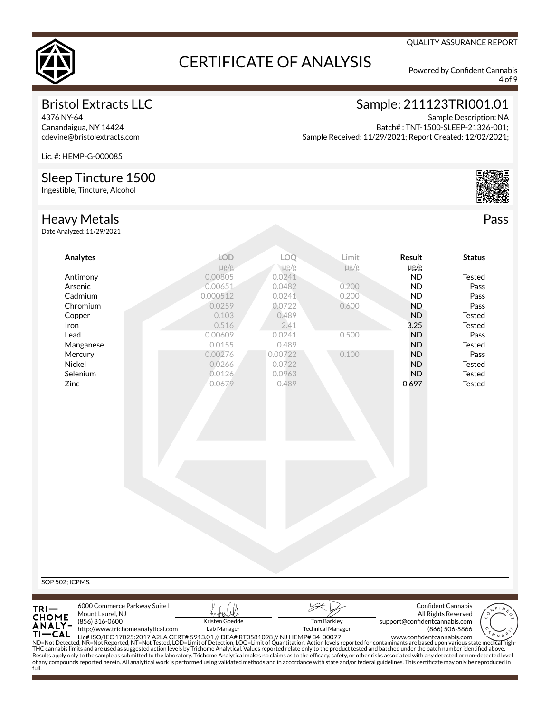

4 of 9

QUALITY ASSURANCE REPORT

## Bristol Extracts LLC

4376 NY-64 Canandaigua, NY 14424 cdevine@bristolextracts.com

## Sample: 211123TRI001.01

Sample Description: NA Batch# : TNT-1500-SLEEP-21326-001; Sample Received: 11/29/2021; Report Created: 12/02/2021;

Lic. #: HEMP-G-000085

## Sleep Tincture 1500

Ingestible, Tincture, Alcohol

### Heavy Metals

Date Analyzed: 11/29/2021



Pass

|                                        | Analytes                                                                                                                                                                                                                                                                                                                                                                                                                     | <b>LOD</b>                    | LOO       | Limit                                          | <b>Result</b>                 | <b>Status</b>             |
|----------------------------------------|------------------------------------------------------------------------------------------------------------------------------------------------------------------------------------------------------------------------------------------------------------------------------------------------------------------------------------------------------------------------------------------------------------------------------|-------------------------------|-----------|------------------------------------------------|-------------------------------|---------------------------|
|                                        |                                                                                                                                                                                                                                                                                                                                                                                                                              | $\mu$ g/g                     | $\mu$ g/g | $\mu$ g/g                                      | $\mu$ g/g                     |                           |
|                                        | Antimony                                                                                                                                                                                                                                                                                                                                                                                                                     | 0.00805                       | 0.0241    |                                                | <b>ND</b>                     | <b>Tested</b>             |
|                                        | Arsenic                                                                                                                                                                                                                                                                                                                                                                                                                      | 0.00651                       | 0.0482    | 0.200                                          | <b>ND</b>                     | Pass                      |
|                                        | Cadmium                                                                                                                                                                                                                                                                                                                                                                                                                      | 0.000512                      | 0.0241    | 0.200                                          | <b>ND</b>                     | Pass                      |
|                                        | Chromium                                                                                                                                                                                                                                                                                                                                                                                                                     | 0.0259                        | 0.0722    | 0.600                                          | <b>ND</b>                     | Pass                      |
|                                        | Copper                                                                                                                                                                                                                                                                                                                                                                                                                       | 0.103                         | 0.489     |                                                | <b>ND</b>                     | <b>Tested</b>             |
| Iron                                   |                                                                                                                                                                                                                                                                                                                                                                                                                              | 0.516                         | 2.41      |                                                | 3.25                          | <b>Tested</b>             |
| Lead                                   |                                                                                                                                                                                                                                                                                                                                                                                                                              | 0.00609                       | 0.0241    | 0.500                                          | <b>ND</b>                     | Pass                      |
|                                        | Manganese                                                                                                                                                                                                                                                                                                                                                                                                                    | 0.0155                        | 0.489     |                                                | <b>ND</b>                     | Tested                    |
|                                        | Mercury                                                                                                                                                                                                                                                                                                                                                                                                                      | 0.00276                       | 0.00722   | 0.100                                          | <b>ND</b>                     | Pass                      |
| Nickel                                 |                                                                                                                                                                                                                                                                                                                                                                                                                              | 0.0266                        | 0.0722    |                                                | <b>ND</b>                     | Tested                    |
|                                        | Selenium                                                                                                                                                                                                                                                                                                                                                                                                                     | 0.0126                        | 0.0963    |                                                | <b>ND</b>                     | Tested                    |
| Zinc                                   |                                                                                                                                                                                                                                                                                                                                                                                                                              | 0.0679                        | 0.489     |                                                | 0.697                         | Tested                    |
|                                        |                                                                                                                                                                                                                                                                                                                                                                                                                              |                               |           |                                                |                               |                           |
|                                        |                                                                                                                                                                                                                                                                                                                                                                                                                              |                               |           |                                                |                               |                           |
|                                        |                                                                                                                                                                                                                                                                                                                                                                                                                              |                               |           |                                                |                               |                           |
|                                        |                                                                                                                                                                                                                                                                                                                                                                                                                              |                               |           |                                                |                               |                           |
|                                        |                                                                                                                                                                                                                                                                                                                                                                                                                              |                               |           |                                                |                               |                           |
|                                        |                                                                                                                                                                                                                                                                                                                                                                                                                              |                               |           |                                                |                               |                           |
|                                        |                                                                                                                                                                                                                                                                                                                                                                                                                              |                               |           |                                                |                               |                           |
|                                        |                                                                                                                                                                                                                                                                                                                                                                                                                              |                               |           |                                                |                               |                           |
|                                        |                                                                                                                                                                                                                                                                                                                                                                                                                              |                               |           |                                                |                               |                           |
|                                        |                                                                                                                                                                                                                                                                                                                                                                                                                              |                               |           |                                                |                               |                           |
|                                        |                                                                                                                                                                                                                                                                                                                                                                                                                              |                               |           |                                                |                               |                           |
|                                        |                                                                                                                                                                                                                                                                                                                                                                                                                              |                               |           |                                                |                               |                           |
|                                        |                                                                                                                                                                                                                                                                                                                                                                                                                              |                               |           |                                                |                               |                           |
|                                        |                                                                                                                                                                                                                                                                                                                                                                                                                              |                               |           |                                                |                               |                           |
|                                        |                                                                                                                                                                                                                                                                                                                                                                                                                              |                               |           |                                                |                               |                           |
|                                        |                                                                                                                                                                                                                                                                                                                                                                                                                              |                               |           |                                                |                               |                           |
|                                        |                                                                                                                                                                                                                                                                                                                                                                                                                              |                               |           |                                                |                               |                           |
|                                        |                                                                                                                                                                                                                                                                                                                                                                                                                              |                               |           |                                                |                               |                           |
|                                        |                                                                                                                                                                                                                                                                                                                                                                                                                              |                               |           |                                                |                               |                           |
| SOP 502; ICPMS.                        |                                                                                                                                                                                                                                                                                                                                                                                                                              |                               |           |                                                |                               |                           |
|                                        |                                                                                                                                                                                                                                                                                                                                                                                                                              |                               |           |                                                |                               |                           |
|                                        |                                                                                                                                                                                                                                                                                                                                                                                                                              |                               |           |                                                |                               |                           |
|                                        |                                                                                                                                                                                                                                                                                                                                                                                                                              |                               |           |                                                |                               |                           |
|                                        | 6000 Commerce Parkway Suite I                                                                                                                                                                                                                                                                                                                                                                                                |                               |           |                                                |                               | <b>Confident Cannabis</b> |
|                                        | Mount Laurel, NJ                                                                                                                                                                                                                                                                                                                                                                                                             |                               |           |                                                |                               | All Rights Reserved       |
|                                        | (856) 316-0600<br>http://www.trichomeanalytical.com                                                                                                                                                                                                                                                                                                                                                                          | Kristen Goedde<br>Lab Manager |           | <b>Tom Barkley</b><br><b>Technical Manager</b> | support@confidentcannabis.com | (866) 506-5866            |
|                                        |                                                                                                                                                                                                                                                                                                                                                                                                                              |                               |           |                                                |                               |                           |
| $TRI -$<br>CHOME<br>ANALY-<br>$TI-CAL$ | 11 CAL Lic# ISO/IEC 17025:2017 A2LA CERT# 5913.01 // DEA# RT0581098 // NJ HEMP# 34 00077 www.confidentcannabis.com www.confidentcannabis.com ND=Not Detected, NR=Not Reported, NT=Not Tested, LOD=Limit of Detection, LOQ=Limi<br>THC cannabis limits and are used as suggested action levels by Trichome Analytical. Values reported relate only to the product tested and batched under the batch number identified above. |                               |           |                                                |                               |                           |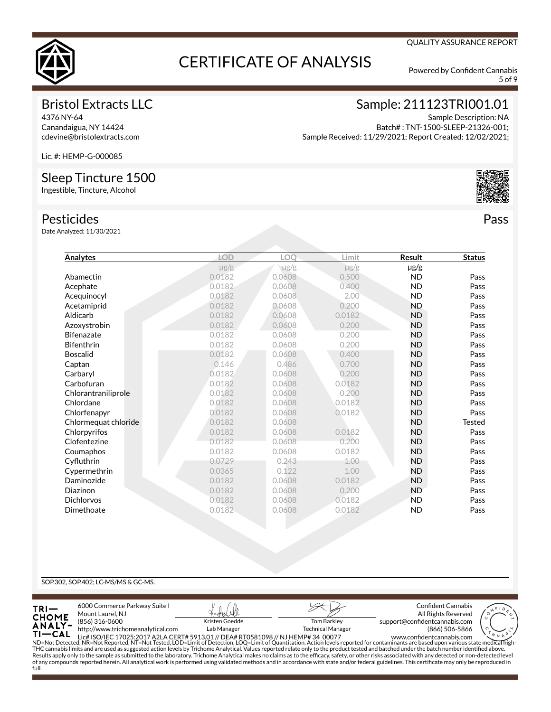

5 of 9

### Bristol Extracts LLC

4376 NY-64 Canandaigua, NY 14424 cdevine@bristolextracts.com

## Sample: 211123TRI001.01

Sample Description: NA Batch# : TNT-1500-SLEEP-21326-001; Sample Received: 11/29/2021; Report Created: 12/02/2021;

Lic. #: HEMP-G-000085

### Sleep Tincture 1500

Ingestible, Tincture, Alcohol

### Pesticides

Date Analyzed: 11/30/2021

| Analytes             | <b>LOD</b> | LOQ       | Limit     | <b>Result</b> | <b>Status</b> |
|----------------------|------------|-----------|-----------|---------------|---------------|
|                      | $\mu$ g/g  | $\mu$ g/g | $\mu$ g/g | $\mu$ g/g     |               |
| Abamectin            | 0.0182     | 0.0608    | 0.500     | <b>ND</b>     | Pass          |
| Acephate             | 0.0182     | 0.0608    | 0.400     | <b>ND</b>     | Pass          |
| Acequinocyl          | 0.0182     | 0.0608    | 2.00      | <b>ND</b>     | Pass          |
| Acetamiprid          | 0.0182     | 0.0608    | 0.200     | <b>ND</b>     | Pass          |
| Aldicarb             | 0.0182     | 0.0608    | 0.0182    | <b>ND</b>     | Pass          |
| Azoxystrobin         | 0.0182     | 0.0608    | 0.200     | <b>ND</b>     | Pass          |
| <b>Bifenazate</b>    | 0.0182     | 0.0608    | 0.200     | <b>ND</b>     | Pass          |
| <b>Bifenthrin</b>    | 0.0182     | 0.0608    | 0.200     | <b>ND</b>     | Pass          |
| <b>Boscalid</b>      | 0.0182     | 0.0608    | 0.400     | <b>ND</b>     | Pass          |
| Captan               | 0.146      | 0.486     | 0.700     | <b>ND</b>     | Pass          |
| Carbaryl             | 0.0182     | 0.0608    | 0.200     | <b>ND</b>     | Pass          |
| Carbofuran           | 0.0182     | 0.0608    | 0.0182    | <b>ND</b>     | Pass          |
| Chlorantraniliprole  | 0.0182     | 0.0608    | 0.200     | <b>ND</b>     | Pass          |
| Chlordane            | 0.0182     | 0.0608    | 0.0182    | <b>ND</b>     | Pass          |
| Chlorfenapyr         | 0.0182     | 0.0608    | 0.0182    | <b>ND</b>     | Pass          |
| Chlormequat chloride | 0.0182     | 0.0608    |           | <b>ND</b>     | <b>Tested</b> |
| Chlorpyrifos         | 0.0182     | 0.0608    | 0.0182    | <b>ND</b>     | Pass          |
| Clofentezine         | 0.0182     | 0.0608    | 0.200     | <b>ND</b>     | Pass          |
| Coumaphos            | 0.0182     | 0.0608    | 0.0182    | <b>ND</b>     | Pass          |
| Cyfluthrin           | 0.0729     | 0.243     | 1.00      | <b>ND</b>     | Pass          |
| Cypermethrin         | 0.0365     | 0.122     | 1.00      | <b>ND</b>     | Pass          |
| Daminozide           | 0.0182     | 0.0608    | 0.0182    | <b>ND</b>     | Pass          |
| Diazinon             | 0.0182     | 0.0608    | 0.200     | <b>ND</b>     | Pass          |
| <b>Dichlorvos</b>    | 0.0182     | 0.0608    | 0.0182    | <b>ND</b>     | Pass          |
| Dimethoate           | 0.0182     | 0.0608    | 0.0182    | <b>ND</b>     | Pass          |
|                      |            |           |           |               |               |

### SOP.302, SOP.402; LC-MS/MS & GC-MS.



Pass

### QUALITY ASSURANCE REPORT

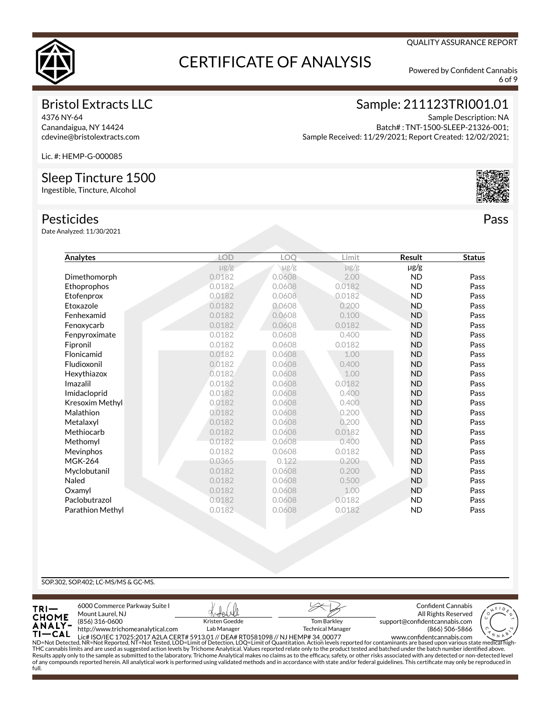

6 of 9

QUALITY ASSURANCE REPORT

## Bristol Extracts LLC

4376 NY-64 Canandaigua, NY 14424 cdevine@bristolextracts.com

## Sample: 211123TRI001.01

Sample Description: NA Batch# : TNT-1500-SLEEP-21326-001; Sample Received: 11/29/2021; Report Created: 12/02/2021;

Lic. #: HEMP-G-000085

### Sleep Tincture 1500

Ingestible, Tincture, Alcohol

### Pesticides

Date Analyzed: 11/30/2021

| Analytes         | <b>LOD</b> | LOQ       | Limit     | Result    | <b>Status</b> |
|------------------|------------|-----------|-----------|-----------|---------------|
|                  | $\mu$ g/g  | $\mu$ g/g | $\mu$ g/g | $\mu$ g/g |               |
| Dimethomorph     | 0.0182     | 0.0608    | 2.00      | <b>ND</b> | Pass          |
| Ethoprophos      | 0.0182     | 0.0608    | 0.0182    | <b>ND</b> | Pass          |
| Etofenprox       | 0.0182     | 0.0608    | 0.0182    | <b>ND</b> | Pass          |
| Etoxazole        | 0.0182     | 0.0608    | 0.200     | <b>ND</b> | Pass          |
| Fenhexamid       | 0.0182     | 0.0608    | 0.100     | <b>ND</b> | Pass          |
| Fenoxycarb       | 0.0182     | 0.0608    | 0.0182    | <b>ND</b> | Pass          |
| Fenpyroximate    | 0.0182     | 0.0608    | 0.400     | <b>ND</b> | Pass          |
| Fipronil         | 0.0182     | 0.0608    | 0.0182    | <b>ND</b> | Pass          |
| Flonicamid       | 0.0182     | 0.0608    | 1.00      | <b>ND</b> | Pass          |
| Fludioxonil      | 0.0182     | 0.0608    | 0.400     | <b>ND</b> | Pass          |
| Hexythiazox      | 0.0182     | 0.0608    | 1.00      | <b>ND</b> | Pass          |
| Imazalil         | 0.0182     | 0.0608    | 0.0182    | <b>ND</b> | Pass          |
| Imidacloprid     | 0.0182     | 0.0608    | 0.400     | <b>ND</b> | Pass          |
| Kresoxim Methyl  | 0.0182     | 0.0608    | 0.400     | <b>ND</b> | Pass          |
| Malathion        | 0.0182     | 0.0608    | 0.200     | <b>ND</b> | Pass          |
| Metalaxyl        | 0.0182     | 0.0608    | 0.200     | <b>ND</b> | Pass          |
| Methiocarb       | 0.0182     | 0.0608    | 0.0182    | <b>ND</b> | Pass          |
| Methomyl         | 0.0182     | 0.0608    | 0.400     | <b>ND</b> | Pass          |
| Mevinphos        | 0.0182     | 0.0608    | 0.0182    | <b>ND</b> | Pass          |
| <b>MGK-264</b>   | 0.0365     | 0.122     | 0.200     | <b>ND</b> | Pass          |
| Myclobutanil     | 0.0182     | 0.0608    | 0.200     | <b>ND</b> | Pass          |
| Naled            | 0.0182     | 0.0608    | 0.500     | <b>ND</b> | Pass          |
| Oxamyl           | 0.0182     | 0.0608    | 1.00      | <b>ND</b> | Pass          |
| Paclobutrazol    | 0.0182     | 0.0608    | 0.0182    | <b>ND</b> | Pass          |
| Parathion Methyl | 0.0182     | 0.0608    | 0.0182    | <b>ND</b> | Pass          |

### SOP.302, SOP.402; LC-MS/MS & GC-MS.



Pass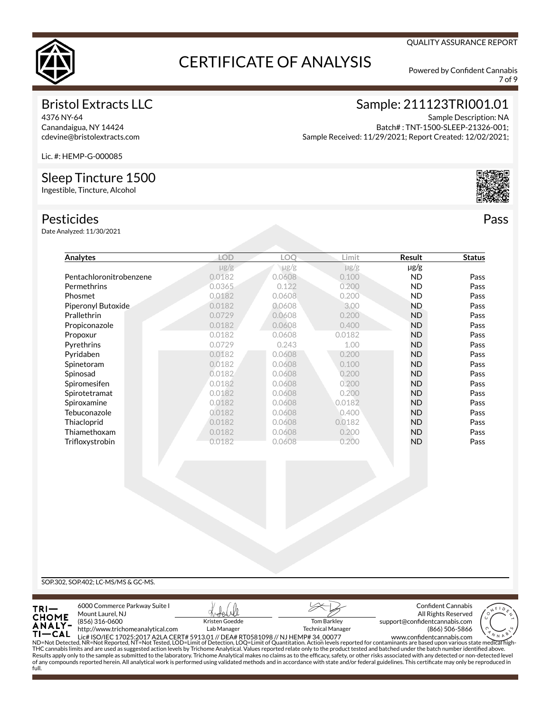

7 of 9

QUALITY ASSURANCE REPORT

## Bristol Extracts LLC

4376 NY-64 Canandaigua, NY 14424 cdevine@bristolextracts.com

## Sample: 211123TRI001.01

Sample Description: NA Batch# : TNT-1500-SLEEP-21326-001; Sample Received: 11/29/2021; Report Created: 12/02/2021;

Lic. #: HEMP-G-000085

### Sleep Tincture 1500

Ingestible, Tincture, Alcohol

### Pesticides

Date Analyzed: 11/30/2021



Pass

| Analytes                | <b>LOD</b> | LOO       | Limit     | Result    | <b>Status</b> |
|-------------------------|------------|-----------|-----------|-----------|---------------|
|                         | $\mu$ g/g  | $\mu$ g/g | $\mu$ g/g | µg/g      |               |
| Pentachloronitrobenzene | 0.0182     | 0.0608    | 0.100     | <b>ND</b> | Pass          |
| Permethrins             | 0.0365     | 0.122     | 0.200     | <b>ND</b> | Pass          |
| Phosmet                 | 0.0182     | 0.0608    | 0.200     | <b>ND</b> | Pass          |
| Piperonyl Butoxide      | 0.0182     | 0.0608    | 3.00      | <b>ND</b> | Pass          |
| Prallethrin             | 0.0729     | 0.0608    | 0.200     | <b>ND</b> | Pass          |
| Propiconazole           | 0.0182     | 0.0608    | 0.400     | <b>ND</b> | Pass          |
| Propoxur                | 0.0182     | 0.0608    | 0.0182    | <b>ND</b> | Pass          |
| Pyrethrins              | 0.0729     | 0.243     | 1.00      | <b>ND</b> | Pass          |
| Pyridaben               | 0.0182     | 0.0608    | 0.200     | <b>ND</b> | Pass          |
| Spinetoram              | 0.0182     | 0.0608    | 0.100     | <b>ND</b> | Pass          |
| Spinosad                | 0.0182     | 0.0608    | 0.200     | <b>ND</b> | Pass          |
| Spiromesifen            | 0.0182     | 0.0608    | 0.200     | <b>ND</b> | Pass          |
| Spirotetramat           | 0.0182     | 0.0608    | 0.200     | <b>ND</b> | Pass          |
| Spiroxamine             | 0.0182     | 0.0608    | 0.0182    | <b>ND</b> | Pass          |
| Tebuconazole            | 0.0182     | 0.0608    | 0.400     | <b>ND</b> | Pass          |
| Thiacloprid             | 0.0182     | 0.0608    | 0.0182    | <b>ND</b> | Pass          |
| Thiamethoxam            | 0.0182     | 0.0608    | 0.200     | <b>ND</b> | Pass          |
| Trifloxystrobin         | 0.0182     | 0.0608    | 0.200     | <b>ND</b> | Pass          |
|                         |            |           |           |           |               |
|                         |            |           |           |           |               |
|                         |            |           |           |           |               |
|                         |            |           |           |           |               |
|                         |            |           |           |           |               |
|                         |            |           |           |           |               |

SOP.302, SOP.402; LC-MS/MS & GC-MS.

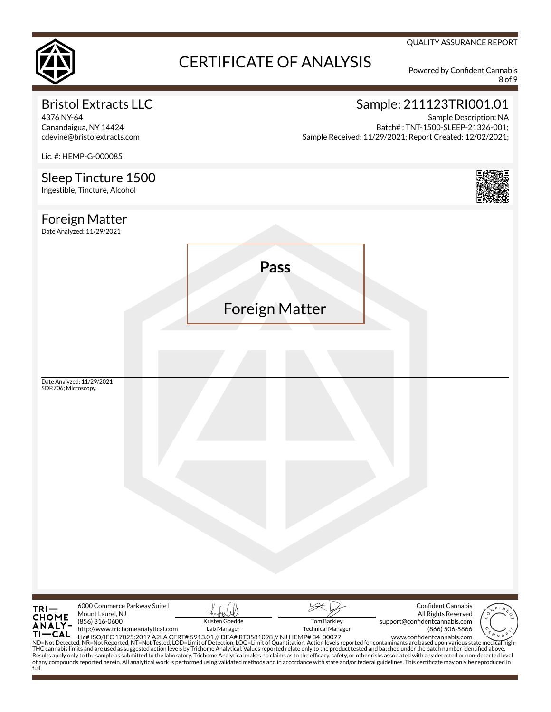

8 of 9

QUALITY ASSURANCE REPORT

## Bristol Extracts LLC

4376 NY-64 Canandaigua, NY 14424 cdevine@bristolextracts.com

Lic. #: HEMP-G-000085

## Sample: 211123TRI001.01

Sample Description: NA Batch# : TNT-1500-SLEEP-21326-001; Sample Received: 11/29/2021; Report Created: 12/02/2021;

Sleep Tincture 1500 Ingestible, Tincture, Alcohol Foreign Matter Date Analyzed: 11/29/2021 **Pass** Foreign Matter Date Analyzed: 11/29/2021 SOP.706; Microscopy.